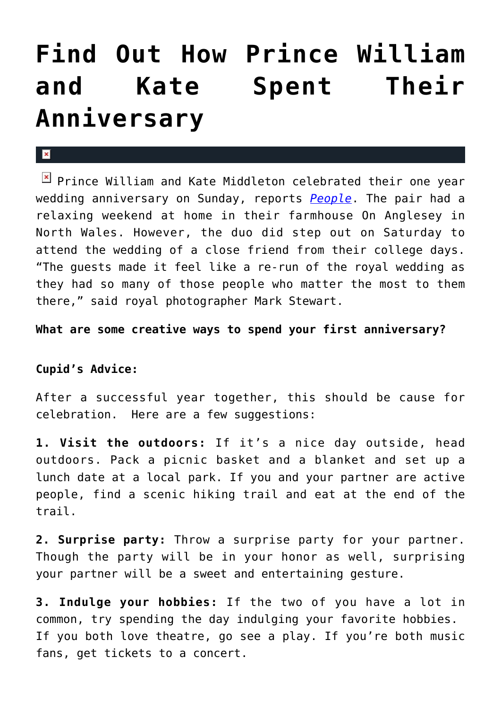## **[Find Out How Prince William](https://cupidspulse.com/30715/how-prince-william-kate-middleton-spent-anniversary/) [and Kate Spent Their](https://cupidspulse.com/30715/how-prince-william-kate-middleton-spent-anniversary/) [Anniversary](https://cupidspulse.com/30715/how-prince-william-kate-middleton-spent-anniversary/)**

## $\mathbf{R}$

**E** Prince William and Kate Middleton celebrated their one year wedding anniversary on Sunday, reports *[People](http://www.people.com/people/package/article/0,,20395222_20591390,00.html)*. The pair had a relaxing weekend at home in their farmhouse On Anglesey in North Wales. However, the duo did step out on Saturday to attend the wedding of a close friend from their college days. "The guests made it feel like a re-run of the royal wedding as they had so many of those people who matter the most to them there," said royal photographer Mark Stewart.

**What are some creative ways to spend your first anniversary?**

## **Cupid's Advice:**

After a successful year together, this should be cause for celebration. Here are a few suggestions:

**1. Visit the outdoors:** If it's a nice day outside, head outdoors. Pack a picnic basket and a blanket and set up a lunch date at a local park. If you and your partner are active people, find a scenic hiking trail and eat at the end of the trail.

**2. Surprise party:** Throw a surprise party for your partner. Though the party will be in your honor as well, surprising your partner will be a sweet and entertaining gesture.

**3. Indulge your hobbies:** If the two of you have a lot in common, try spending the day indulging your favorite hobbies. If you both love theatre, go see a play. If you're both music fans, get tickets to a concert.